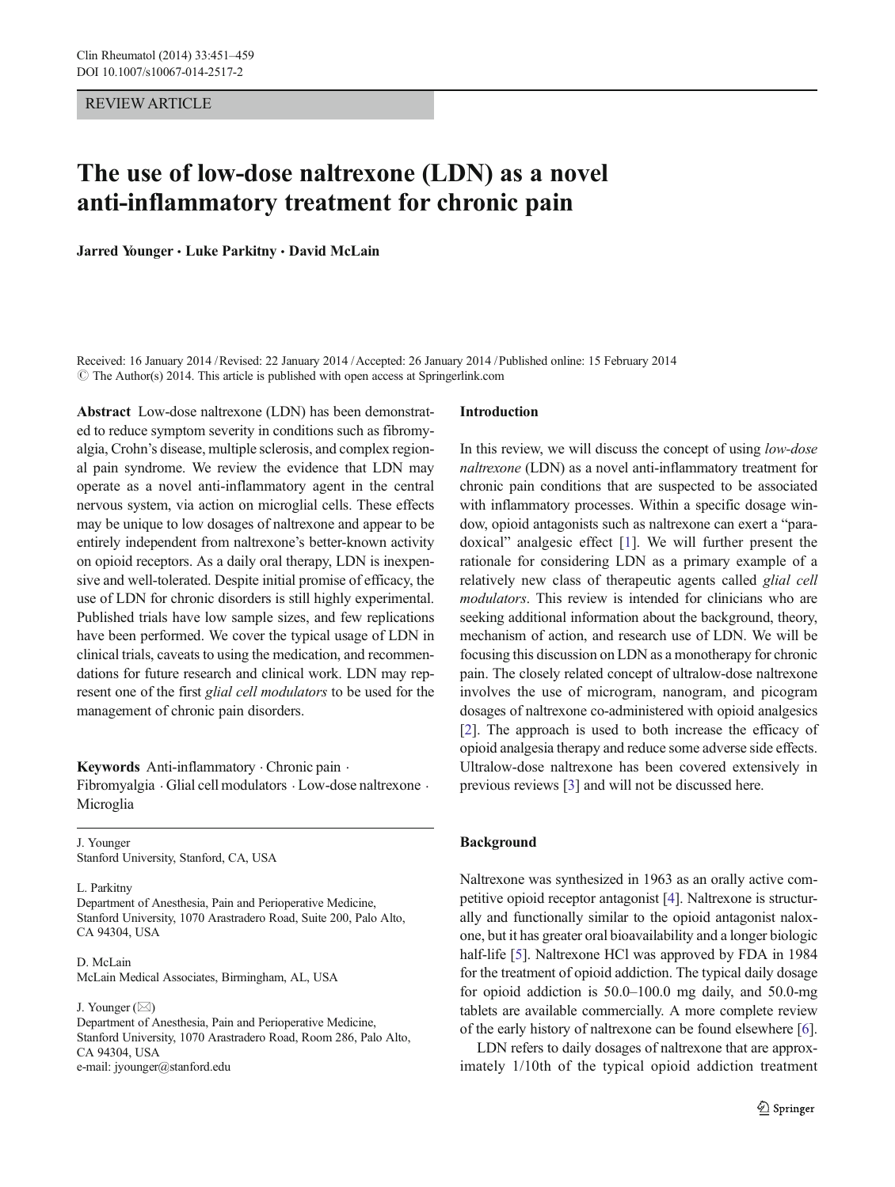## REVIEW ARTICLE

# The use of low-dose naltrexone (LDN) as a novel anti-inflammatory treatment for chronic pain

Jarred Younger · Luke Parkitny · David McLain

Received: 16 January 2014 /Revised: 22 January 2014 /Accepted: 26 January 2014 /Published online: 15 February 2014  $\odot$  The Author(s) 2014. This article is published with open access at Springerlink.com

Abstract Low-dose naltrexone (LDN) has been demonstrated to reduce symptom severity in conditions such as fibromyalgia, Crohn's disease, multiple sclerosis, and complex regional pain syndrome. We review the evidence that LDN may operate as a novel anti-inflammatory agent in the central nervous system, via action on microglial cells. These effects may be unique to low dosages of naltrexone and appear to be entirely independent from naltrexone's better-known activity on opioid receptors. As a daily oral therapy, LDN is inexpensive and well-tolerated. Despite initial promise of efficacy, the use of LDN for chronic disorders is still highly experimental. Published trials have low sample sizes, and few replications have been performed. We cover the typical usage of LDN in clinical trials, caveats to using the medication, and recommendations for future research and clinical work. LDN may represent one of the first glial cell modulators to be used for the management of chronic pain disorders.

Keywords Anti-inflammatory . Chronic pain .

Fibromyalgia . Glial cell modulators . Low-dose naltrexone . Microglia

J. Younger Stanford University, Stanford, CA, USA

L. Parkitny

Department of Anesthesia, Pain and Perioperative Medicine, Stanford University, 1070 Arastradero Road, Suite 200, Palo Alto, CA 94304, USA

D. McLain McLain Medical Associates, Birmingham, AL, USA

#### J. Younger  $(\boxtimes)$

Department of Anesthesia, Pain and Perioperative Medicine, Stanford University, 1070 Arastradero Road, Room 286, Palo Alto, CA 94304, USA e-mail: jyounger@stanford.edu

#### Introduction

In this review, we will discuss the concept of using low-dose naltrexone (LDN) as a novel anti-inflammatory treatment for chronic pain conditions that are suspected to be associated with inflammatory processes. Within a specific dosage window, opioid antagonists such as naltrexone can exert a "paradoxical" analgesic effect [[1\]](#page-7-0). We will further present the rationale for considering LDN as a primary example of a relatively new class of therapeutic agents called glial cell modulators. This review is intended for clinicians who are seeking additional information about the background, theory, mechanism of action, and research use of LDN. We will be focusing this discussion on LDN as a monotherapy for chronic pain. The closely related concept of ultralow-dose naltrexone involves the use of microgram, nanogram, and picogram dosages of naltrexone co-administered with opioid analgesics [\[2](#page-7-0)]. The approach is used to both increase the efficacy of opioid analgesia therapy and reduce some adverse side effects. Ultralow-dose naltrexone has been covered extensively in previous reviews [\[3\]](#page-7-0) and will not be discussed here.

## Background

Naltrexone was synthesized in 1963 as an orally active competitive opioid receptor antagonist [\[4](#page-7-0)]. Naltrexone is structurally and functionally similar to the opioid antagonist naloxone, but it has greater oral bioavailability and a longer biologic half-life [[5\]](#page-7-0). Naltrexone HCl was approved by FDA in 1984 for the treatment of opioid addiction. The typical daily dosage for opioid addiction is 50.0–100.0 mg daily, and 50.0-mg tablets are available commercially. A more complete review of the early history of naltrexone can be found elsewhere [[6\]](#page-7-0).

LDN refers to daily dosages of naltrexone that are approximately 1/10th of the typical opioid addiction treatment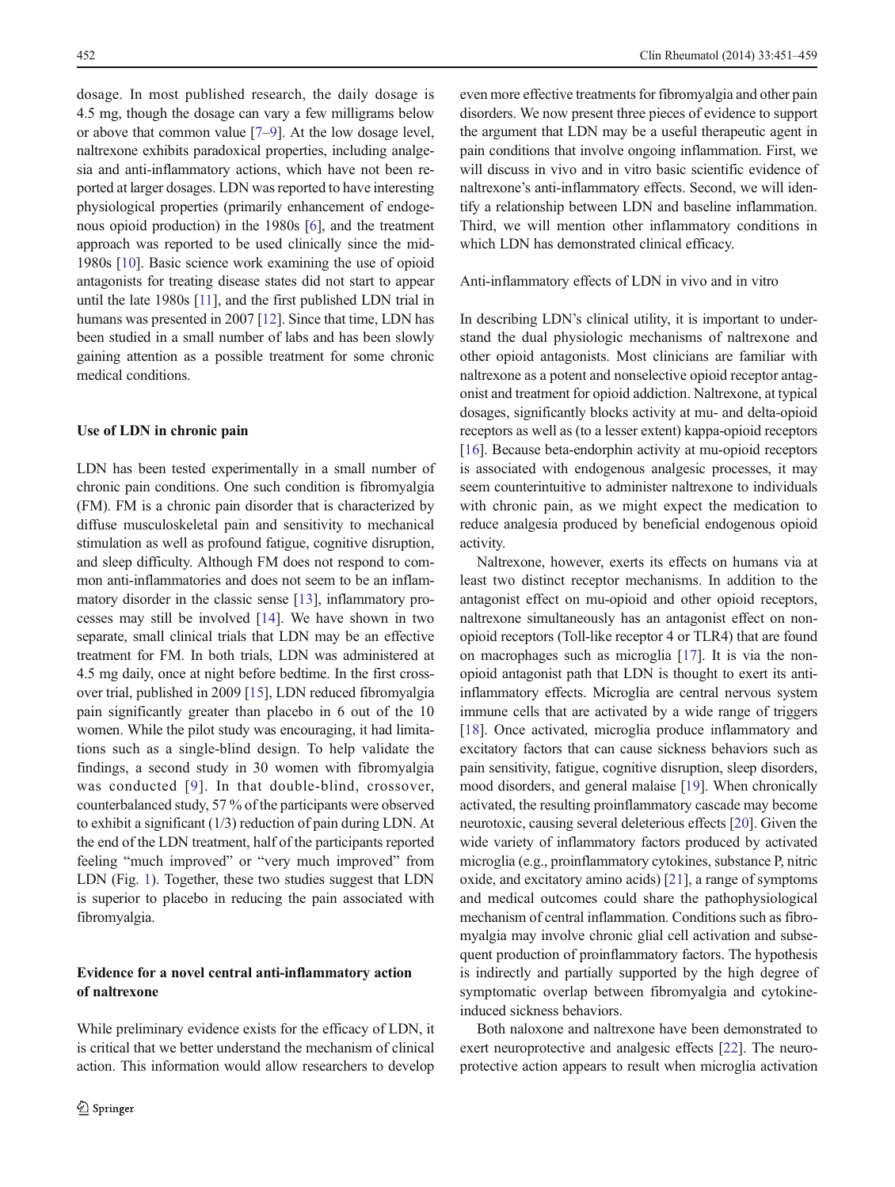dosage. In most published research, the daily dosage is 4.5 mg, though the dosage can vary a few milligrams below or above that common value [[7](#page-7-0)–[9](#page-7-0)]. At the low dosage level, naltrexone exhibits paradoxical properties, including analgesia and anti-inflammatory actions, which have not been reported at larger dosages. LDN was reported to have interesting physiological properties (primarily enhancement of endogenous opioid production) in the 1980s [\[6\]](#page-7-0), and the treatment approach was reported to be used clinically since the mid-1980s [[10](#page-7-0)]. Basic science work examining the use of opioid antagonists for treating disease states did not start to appear until the late 1980s [\[11\]](#page-7-0), and the first published LDN trial in humans was presented in 2007 [[12](#page-7-0)]. Since that time, LDN has been studied in a small number of labs and has been slowly gaining attention as a possible treatment for some chronic medical conditions.

## Use of LDN in chronic pain

LDN has been tested experimentally in a small number of chronic pain conditions. One such condition is fibromyalgia (FM). FM is a chronic pain disorder that is characterized by diffuse musculoskeletal pain and sensitivity to mechanical stimulation as well as profound fatigue, cognitive disruption, and sleep difficulty. Although FM does not respond to common anti-inflammatories and does not seem to be an inflammatory disorder in the classic sense [[13](#page-7-0)], inflammatory processes may still be involved [[14\]](#page-7-0). We have shown in two separate, small clinical trials that LDN may be an effective treatment for FM. In both trials, LDN was administered at 4.5 mg daily, once at night before bedtime. In the first crossover trial, published in 2009 [\[15\]](#page-7-0), LDN reduced fibromyalgia pain significantly greater than placebo in 6 out of the 10 women. While the pilot study was encouraging, it had limitations such as a single-blind design. To help validate the findings, a second study in 30 women with fibromyalgia was conducted [[9](#page-7-0)]. In that double-blind, crossover, counterbalanced study, 57 % of the participants were observed to exhibit a significant (1/3) reduction of pain during LDN. At the end of the LDN treatment, half of the participants reported feeling "much improved" or "very much improved" from LDN (Fig. [1\)](#page-2-0). Together, these two studies suggest that LDN is superior to placebo in reducing the pain associated with fibromyalgia.

# Evidence for a novel central anti-inflammatory action of naltrexone

While preliminary evidence exists for the efficacy of LDN, it is critical that we better understand the mechanism of clinical action. This information would allow researchers to develop even more effective treatments for fibromyalgia and other pain disorders. We now present three pieces of evidence to support the argument that LDN may be a useful therapeutic agent in pain conditions that involve ongoing inflammation. First, we will discuss in vivo and in vitro basic scientific evidence of naltrexone's anti-inflammatory effects. Second, we will identify a relationship between LDN and baseline inflammation. Third, we will mention other inflammatory conditions in which LDN has demonstrated clinical efficacy.

#### Anti-inflammatory effects of LDN in vivo and in vitro

In describing LDN's clinical utility, it is important to understand the dual physiologic mechanisms of naltrexone and other opioid antagonists. Most clinicians are familiar with naltrexone as a potent and nonselective opioid receptor antagonist and treatment for opioid addiction. Naltrexone, at typical dosages, significantly blocks activity at mu- and delta-opioid receptors as well as (to a lesser extent) kappa-opioid receptors [\[16](#page-7-0)]. Because beta-endorphin activity at mu-opioid receptors is associated with endogenous analgesic processes, it may seem counterintuitive to administer naltrexone to individuals with chronic pain, as we might expect the medication to reduce analgesia produced by beneficial endogenous opioid activity.

Naltrexone, however, exerts its effects on humans via at least two distinct receptor mechanisms. In addition to the antagonist effect on mu-opioid and other opioid receptors, naltrexone simultaneously has an antagonist effect on nonopioid receptors (Toll-like receptor 4 or TLR4) that are found on macrophages such as microglia [\[17](#page-7-0)]. It is via the nonopioid antagonist path that LDN is thought to exert its antiinflammatory effects. Microglia are central nervous system immune cells that are activated by a wide range of triggers [\[18](#page-7-0)]. Once activated, microglia produce inflammatory and excitatory factors that can cause sickness behaviors such as pain sensitivity, fatigue, cognitive disruption, sleep disorders, mood disorders, and general malaise [\[19\]](#page-7-0). When chronically activated, the resulting proinflammatory cascade may become neurotoxic, causing several deleterious effects [[20\]](#page-7-0). Given the wide variety of inflammatory factors produced by activated microglia (e.g., proinflammatory cytokines, substance P, nitric oxide, and excitatory amino acids) [\[21](#page-7-0)], a range of symptoms and medical outcomes could share the pathophysiological mechanism of central inflammation. Conditions such as fibromyalgia may involve chronic glial cell activation and subsequent production of proinflammatory factors. The hypothesis is indirectly and partially supported by the high degree of symptomatic overlap between fibromyalgia and cytokineinduced sickness behaviors.

Both naloxone and naltrexone have been demonstrated to exert neuroprotective and analgesic effects [[22](#page-8-0)]. The neuroprotective action appears to result when microglia activation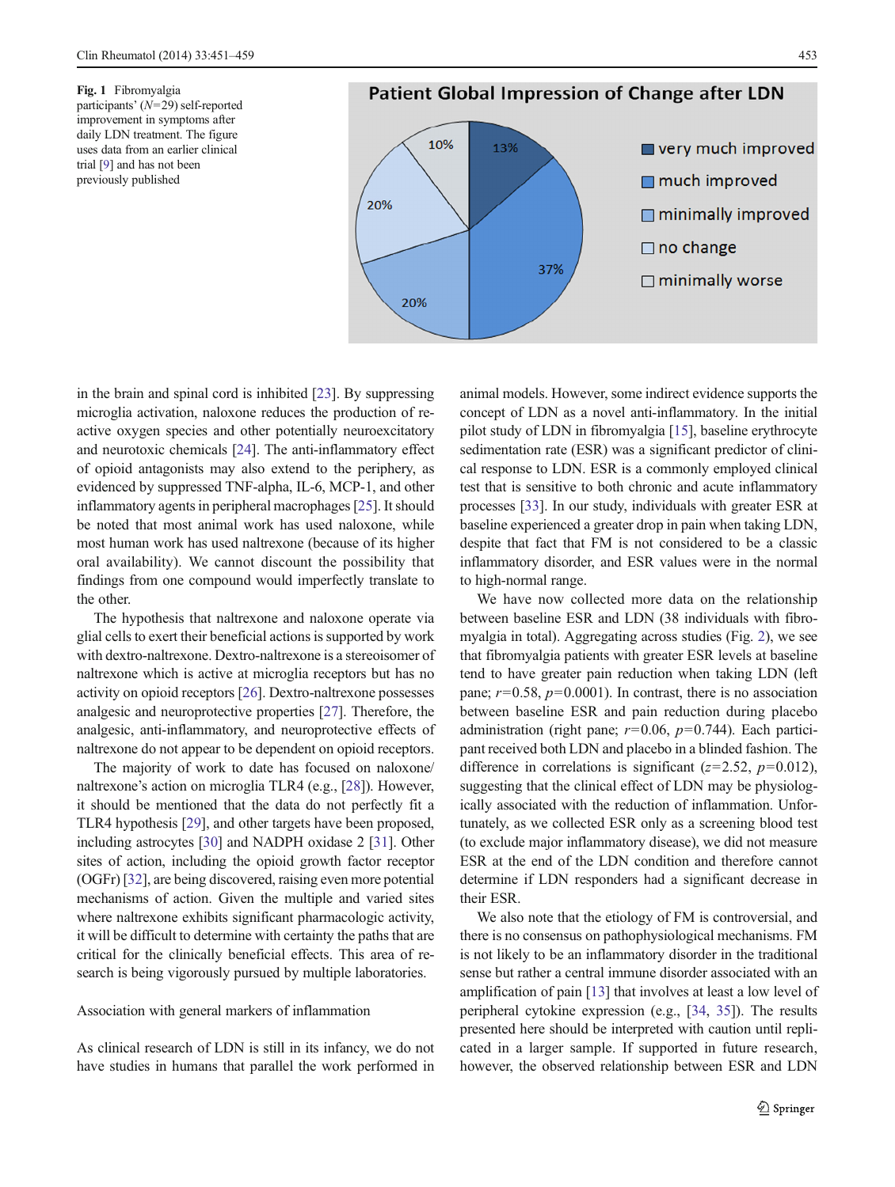<span id="page-2-0"></span>Fig. 1 Fibromyalgia participants' (N=29) self-reported improvement in symptoms after daily LDN treatment. The figure uses data from an earlier clinical trial [[9\]](#page-7-0) and has not been previously published



in the brain and spinal cord is inhibited [[23\]](#page-8-0). By suppressing microglia activation, naloxone reduces the production of reactive oxygen species and other potentially neuroexcitatory and neurotoxic chemicals [[24](#page-8-0)]. The anti-inflammatory effect of opioid antagonists may also extend to the periphery, as evidenced by suppressed TNF-alpha, IL-6, MCP-1, and other inflammatory agents in peripheral macrophages [\[25](#page-8-0)]. It should be noted that most animal work has used naloxone, while most human work has used naltrexone (because of its higher oral availability). We cannot discount the possibility that findings from one compound would imperfectly translate to the other.

The hypothesis that naltrexone and naloxone operate via glial cells to exert their beneficial actions is supported by work with dextro-naltrexone. Dextro-naltrexone is a stereoisomer of naltrexone which is active at microglia receptors but has no activity on opioid receptors [[26](#page-8-0)]. Dextro-naltrexone possesses analgesic and neuroprotective properties [\[27](#page-8-0)]. Therefore, the analgesic, anti-inflammatory, and neuroprotective effects of naltrexone do not appear to be dependent on opioid receptors.

The majority of work to date has focused on naloxone/ naltrexone's action on microglia TLR4 (e.g., [\[28](#page-8-0)]). However, it should be mentioned that the data do not perfectly fit a TLR4 hypothesis [\[29\]](#page-8-0), and other targets have been proposed, including astrocytes [\[30\]](#page-8-0) and NADPH oxidase 2 [[31\]](#page-8-0). Other sites of action, including the opioid growth factor receptor (OGFr) [\[32\]](#page-8-0), are being discovered, raising even more potential mechanisms of action. Given the multiple and varied sites where naltrexone exhibits significant pharmacologic activity, it will be difficult to determine with certainty the paths that are critical for the clinically beneficial effects. This area of research is being vigorously pursued by multiple laboratories.

#### Association with general markers of inflammation

As clinical research of LDN is still in its infancy, we do not have studies in humans that parallel the work performed in animal models. However, some indirect evidence supports the concept of LDN as a novel anti-inflammatory. In the initial pilot study of LDN in fibromyalgia [\[15](#page-7-0)], baseline erythrocyte sedimentation rate (ESR) was a significant predictor of clinical response to LDN. ESR is a commonly employed clinical test that is sensitive to both chronic and acute inflammatory processes [\[33](#page-8-0)]. In our study, individuals with greater ESR at baseline experienced a greater drop in pain when taking LDN, despite that fact that FM is not considered to be a classic inflammatory disorder, and ESR values were in the normal to high-normal range.

We have now collected more data on the relationship between baseline ESR and LDN (38 individuals with fibromyalgia in total). Aggregating across studies (Fig. [2](#page-3-0)), we see that fibromyalgia patients with greater ESR levels at baseline tend to have greater pain reduction when taking LDN (left pane;  $r=0.58$ ,  $p=0.0001$ ). In contrast, there is no association between baseline ESR and pain reduction during placebo administration (right pane;  $r=0.06$ ,  $p=0.744$ ). Each participant received both LDN and placebo in a blinded fashion. The difference in correlations is significant ( $z=2.52$ ,  $p=0.012$ ), suggesting that the clinical effect of LDN may be physiologically associated with the reduction of inflammation. Unfortunately, as we collected ESR only as a screening blood test (to exclude major inflammatory disease), we did not measure ESR at the end of the LDN condition and therefore cannot determine if LDN responders had a significant decrease in their ESR.

We also note that the etiology of FM is controversial, and there is no consensus on pathophysiological mechanisms. FM is not likely to be an inflammatory disorder in the traditional sense but rather a central immune disorder associated with an amplification of pain [\[13\]](#page-7-0) that involves at least a low level of peripheral cytokine expression (e.g., [\[34](#page-8-0), [35\]](#page-8-0)). The results presented here should be interpreted with caution until replicated in a larger sample. If supported in future research, however, the observed relationship between ESR and LDN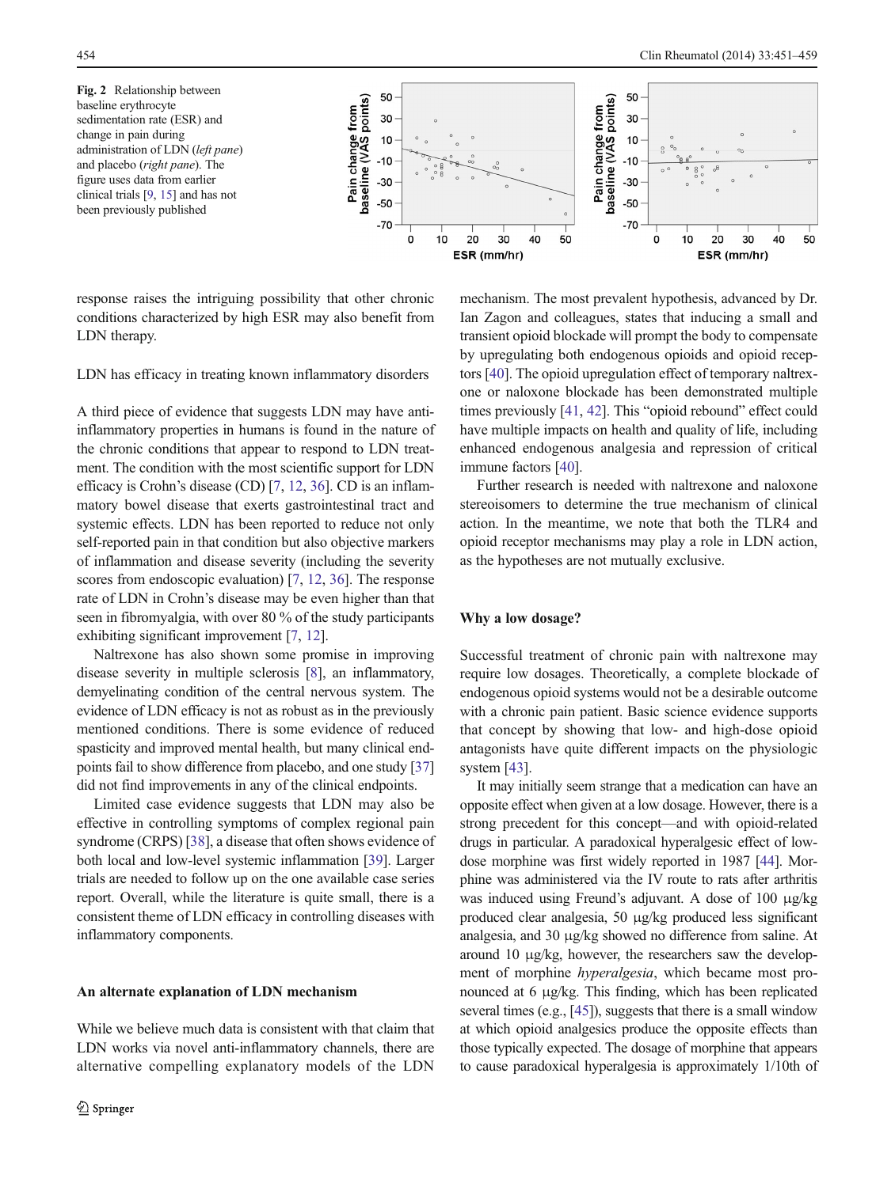<span id="page-3-0"></span>454 Clin Rheumatol (2014) 33:451–459



response raises the intriguing possibility that other chronic conditions characterized by high ESR may also benefit from LDN therapy.

LDN has efficacy in treating known inflammatory disorders

A third piece of evidence that suggests LDN may have antiinflammatory properties in humans is found in the nature of the chronic conditions that appear to respond to LDN treatment. The condition with the most scientific support for LDN efficacy is Crohn's disease (CD) [\[7,](#page-7-0) [12,](#page-7-0) [36](#page-8-0)]. CD is an inflammatory bowel disease that exerts gastrointestinal tract and systemic effects. LDN has been reported to reduce not only self-reported pain in that condition but also objective markers of inflammation and disease severity (including the severity scores from endoscopic evaluation) [[7,](#page-7-0) [12](#page-7-0), [36](#page-8-0)]. The response rate of LDN in Crohn's disease may be even higher than that seen in fibromyalgia, with over 80 % of the study participants exhibiting significant improvement [\[7](#page-7-0), [12](#page-7-0)].

Naltrexone has also shown some promise in improving disease severity in multiple sclerosis [[8](#page-7-0)], an inflammatory, demyelinating condition of the central nervous system. The evidence of LDN efficacy is not as robust as in the previously mentioned conditions. There is some evidence of reduced spasticity and improved mental health, but many clinical endpoints fail to show difference from placebo, and one study [\[37\]](#page-8-0) did not find improvements in any of the clinical endpoints.

Limited case evidence suggests that LDN may also be effective in controlling symptoms of complex regional pain syndrome (CRPS) [[38](#page-8-0)], a disease that often shows evidence of both local and low-level systemic inflammation [\[39\]](#page-8-0). Larger trials are needed to follow up on the one available case series report. Overall, while the literature is quite small, there is a consistent theme of LDN efficacy in controlling diseases with inflammatory components.

## An alternate explanation of LDN mechanism

While we believe much data is consistent with that claim that LDN works via novel anti-inflammatory channels, there are alternative compelling explanatory models of the LDN mechanism. The most prevalent hypothesis, advanced by Dr. Ian Zagon and colleagues, states that inducing a small and transient opioid blockade will prompt the body to compensate by upregulating both endogenous opioids and opioid receptors [[40\]](#page-8-0). The opioid upregulation effect of temporary naltrexone or naloxone blockade has been demonstrated multiple times previously [\[41,](#page-8-0) [42](#page-8-0)]. This "opioid rebound" effect could have multiple impacts on health and quality of life, including enhanced endogenous analgesia and repression of critical immune factors [[40](#page-8-0)].

Further research is needed with naltrexone and naloxone stereoisomers to determine the true mechanism of clinical action. In the meantime, we note that both the TLR4 and opioid receptor mechanisms may play a role in LDN action, as the hypotheses are not mutually exclusive.

#### Why a low dosage?

Successful treatment of chronic pain with naltrexone may require low dosages. Theoretically, a complete blockade of endogenous opioid systems would not be a desirable outcome with a chronic pain patient. Basic science evidence supports that concept by showing that low- and high-dose opioid antagonists have quite different impacts on the physiologic system [[43\]](#page-8-0).

It may initially seem strange that a medication can have an opposite effect when given at a low dosage. However, there is a strong precedent for this concept—and with opioid-related drugs in particular. A paradoxical hyperalgesic effect of lowdose morphine was first widely reported in 1987 [\[44\]](#page-8-0). Morphine was administered via the IV route to rats after arthritis was induced using Freund's adjuvant. A dose of 100 μg/kg produced clear analgesia, 50 μg/kg produced less significant analgesia, and 30 μg/kg showed no difference from saline. At around 10 μg/kg, however, the researchers saw the development of morphine hyperalgesia, which became most pronounced at 6 μg/kg. This finding, which has been replicated several times (e.g., [\[45](#page-8-0)]), suggests that there is a small window at which opioid analgesics produce the opposite effects than those typically expected. The dosage of morphine that appears to cause paradoxical hyperalgesia is approximately 1/10th of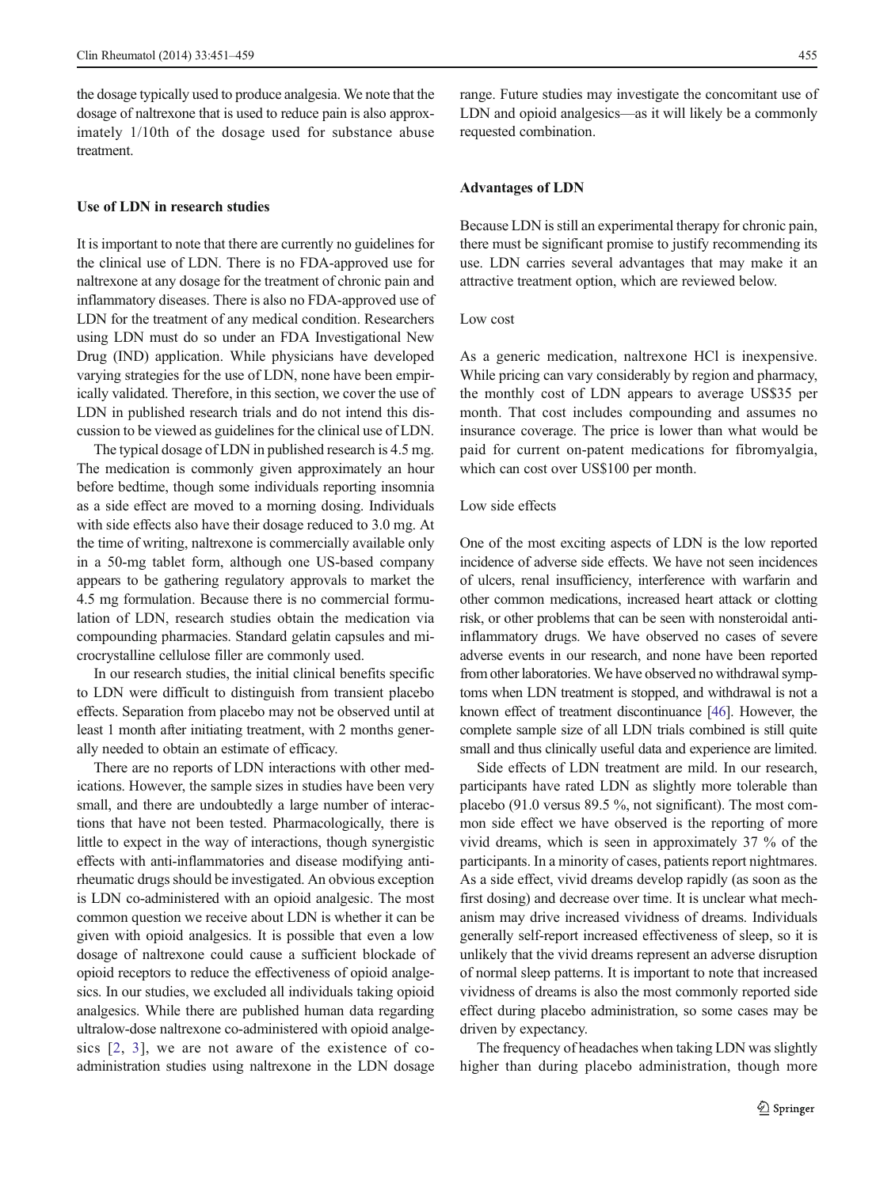the dosage typically used to produce analgesia. We note that the dosage of naltrexone that is used to reduce pain is also approximately 1/10th of the dosage used for substance abuse treatment.

## Use of LDN in research studies

It is important to note that there are currently no guidelines for the clinical use of LDN. There is no FDA-approved use for naltrexone at any dosage for the treatment of chronic pain and inflammatory diseases. There is also no FDA-approved use of LDN for the treatment of any medical condition. Researchers using LDN must do so under an FDA Investigational New Drug (IND) application. While physicians have developed varying strategies for the use of LDN, none have been empirically validated. Therefore, in this section, we cover the use of LDN in published research trials and do not intend this discussion to be viewed as guidelines for the clinical use of LDN.

The typical dosage of LDN in published research is 4.5 mg. The medication is commonly given approximately an hour before bedtime, though some individuals reporting insomnia as a side effect are moved to a morning dosing. Individuals with side effects also have their dosage reduced to 3.0 mg. At the time of writing, naltrexone is commercially available only in a 50-mg tablet form, although one US-based company appears to be gathering regulatory approvals to market the 4.5 mg formulation. Because there is no commercial formulation of LDN, research studies obtain the medication via compounding pharmacies. Standard gelatin capsules and microcrystalline cellulose filler are commonly used.

In our research studies, the initial clinical benefits specific to LDN were difficult to distinguish from transient placebo effects. Separation from placebo may not be observed until at least 1 month after initiating treatment, with 2 months generally needed to obtain an estimate of efficacy.

There are no reports of LDN interactions with other medications. However, the sample sizes in studies have been very small, and there are undoubtedly a large number of interactions that have not been tested. Pharmacologically, there is little to expect in the way of interactions, though synergistic effects with anti-inflammatories and disease modifying antirheumatic drugs should be investigated. An obvious exception is LDN co-administered with an opioid analgesic. The most common question we receive about LDN is whether it can be given with opioid analgesics. It is possible that even a low dosage of naltrexone could cause a sufficient blockade of opioid receptors to reduce the effectiveness of opioid analgesics. In our studies, we excluded all individuals taking opioid analgesics. While there are published human data regarding ultralow-dose naltrexone co-administered with opioid analgesics [[2,](#page-7-0) [3](#page-7-0)], we are not aware of the existence of coadministration studies using naltrexone in the LDN dosage

range. Future studies may investigate the concomitant use of LDN and opioid analgesics—as it will likely be a commonly requested combination.

#### Advantages of LDN

Because LDN is still an experimental therapy for chronic pain, there must be significant promise to justify recommending its use. LDN carries several advantages that may make it an attractive treatment option, which are reviewed below.

#### Low cost

As a generic medication, naltrexone HCl is inexpensive. While pricing can vary considerably by region and pharmacy, the monthly cost of LDN appears to average US\$35 per month. That cost includes compounding and assumes no insurance coverage. The price is lower than what would be paid for current on-patent medications for fibromyalgia, which can cost over US\$100 per month.

## Low side effects

One of the most exciting aspects of LDN is the low reported incidence of adverse side effects. We have not seen incidences of ulcers, renal insufficiency, interference with warfarin and other common medications, increased heart attack or clotting risk, or other problems that can be seen with nonsteroidal antiinflammatory drugs. We have observed no cases of severe adverse events in our research, and none have been reported from other laboratories. We have observed no withdrawal symptoms when LDN treatment is stopped, and withdrawal is not a known effect of treatment discontinuance [[46](#page-8-0)]. However, the complete sample size of all LDN trials combined is still quite small and thus clinically useful data and experience are limited.

Side effects of LDN treatment are mild. In our research, participants have rated LDN as slightly more tolerable than placebo (91.0 versus 89.5 %, not significant). The most common side effect we have observed is the reporting of more vivid dreams, which is seen in approximately 37 % of the participants. In a minority of cases, patients report nightmares. As a side effect, vivid dreams develop rapidly (as soon as the first dosing) and decrease over time. It is unclear what mechanism may drive increased vividness of dreams. Individuals generally self-report increased effectiveness of sleep, so it is unlikely that the vivid dreams represent an adverse disruption of normal sleep patterns. It is important to note that increased vividness of dreams is also the most commonly reported side effect during placebo administration, so some cases may be driven by expectancy.

The frequency of headaches when taking LDN was slightly higher than during placebo administration, though more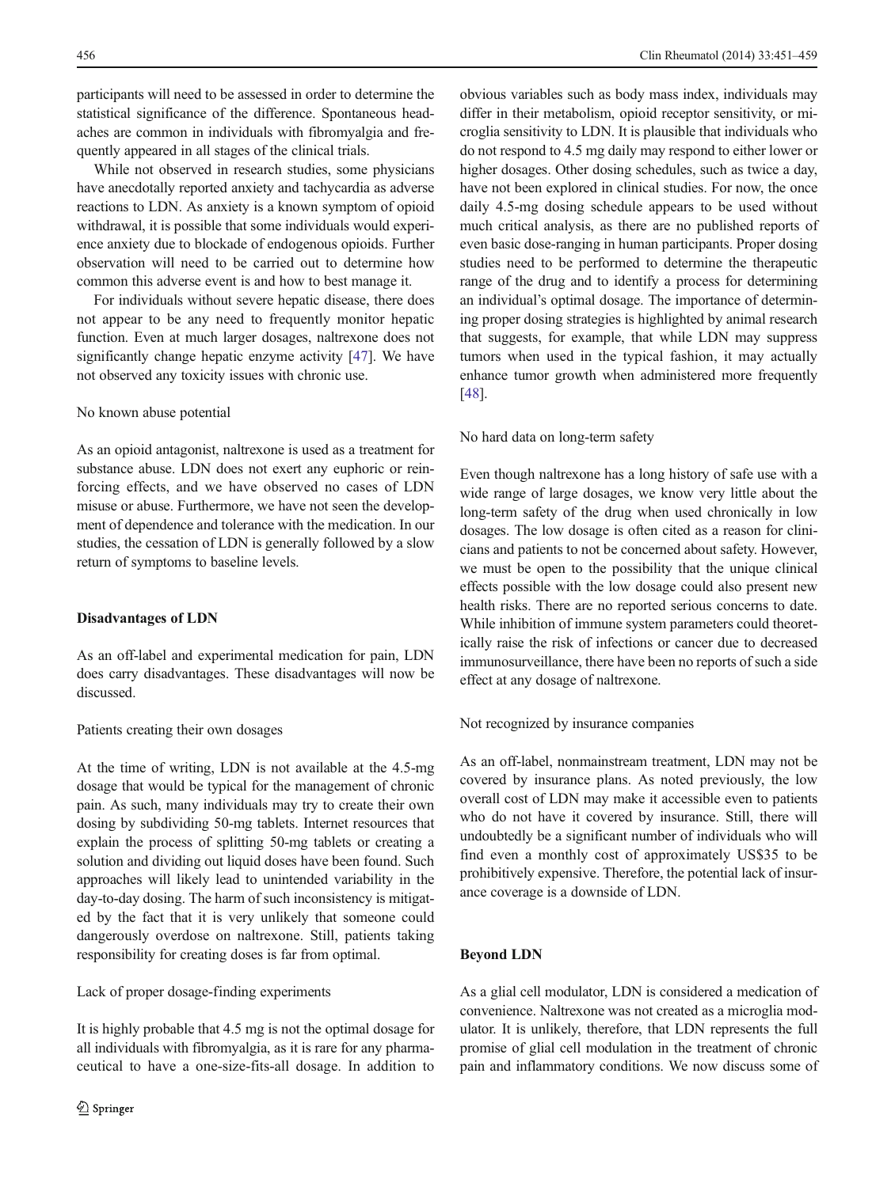participants will need to be assessed in order to determine the statistical significance of the difference. Spontaneous headaches are common in individuals with fibromyalgia and frequently appeared in all stages of the clinical trials.

While not observed in research studies, some physicians have anecdotally reported anxiety and tachycardia as adverse reactions to LDN. As anxiety is a known symptom of opioid withdrawal, it is possible that some individuals would experience anxiety due to blockade of endogenous opioids. Further observation will need to be carried out to determine how common this adverse event is and how to best manage it.

For individuals without severe hepatic disease, there does not appear to be any need to frequently monitor hepatic function. Even at much larger dosages, naltrexone does not significantly change hepatic enzyme activity [\[47\]](#page-8-0). We have not observed any toxicity issues with chronic use.

### No known abuse potential

As an opioid antagonist, naltrexone is used as a treatment for substance abuse. LDN does not exert any euphoric or reinforcing effects, and we have observed no cases of LDN misuse or abuse. Furthermore, we have not seen the development of dependence and tolerance with the medication. In our studies, the cessation of LDN is generally followed by a slow return of symptoms to baseline levels.

#### Disadvantages of LDN

As an off-label and experimental medication for pain, LDN does carry disadvantages. These disadvantages will now be discussed.

#### Patients creating their own dosages

At the time of writing, LDN is not available at the 4.5-mg dosage that would be typical for the management of chronic pain. As such, many individuals may try to create their own dosing by subdividing 50-mg tablets. Internet resources that explain the process of splitting 50-mg tablets or creating a solution and dividing out liquid doses have been found. Such approaches will likely lead to unintended variability in the day-to-day dosing. The harm of such inconsistency is mitigated by the fact that it is very unlikely that someone could dangerously overdose on naltrexone. Still, patients taking responsibility for creating doses is far from optimal.

Lack of proper dosage-finding experiments

It is highly probable that 4.5 mg is not the optimal dosage for all individuals with fibromyalgia, as it is rare for any pharmaceutical to have a one-size-fits-all dosage. In addition to obvious variables such as body mass index, individuals may differ in their metabolism, opioid receptor sensitivity, or microglia sensitivity to LDN. It is plausible that individuals who do not respond to 4.5 mg daily may respond to either lower or higher dosages. Other dosing schedules, such as twice a day, have not been explored in clinical studies. For now, the once daily 4.5-mg dosing schedule appears to be used without much critical analysis, as there are no published reports of even basic dose-ranging in human participants. Proper dosing studies need to be performed to determine the therapeutic range of the drug and to identify a process for determining an individual's optimal dosage. The importance of determining proper dosing strategies is highlighted by animal research that suggests, for example, that while LDN may suppress tumors when used in the typical fashion, it may actually enhance tumor growth when administered more frequently [\[48](#page-8-0)].

No hard data on long-term safety

Even though naltrexone has a long history of safe use with a wide range of large dosages, we know very little about the long-term safety of the drug when used chronically in low dosages. The low dosage is often cited as a reason for clinicians and patients to not be concerned about safety. However, we must be open to the possibility that the unique clinical effects possible with the low dosage could also present new health risks. There are no reported serious concerns to date. While inhibition of immune system parameters could theoretically raise the risk of infections or cancer due to decreased immunosurveillance, there have been no reports of such a side effect at any dosage of naltrexone.

Not recognized by insurance companies

As an off-label, nonmainstream treatment, LDN may not be covered by insurance plans. As noted previously, the low overall cost of LDN may make it accessible even to patients who do not have it covered by insurance. Still, there will undoubtedly be a significant number of individuals who will find even a monthly cost of approximately US\$35 to be prohibitively expensive. Therefore, the potential lack of insurance coverage is a downside of LDN.

## Beyond LDN

As a glial cell modulator, LDN is considered a medication of convenience. Naltrexone was not created as a microglia modulator. It is unlikely, therefore, that LDN represents the full promise of glial cell modulation in the treatment of chronic pain and inflammatory conditions. We now discuss some of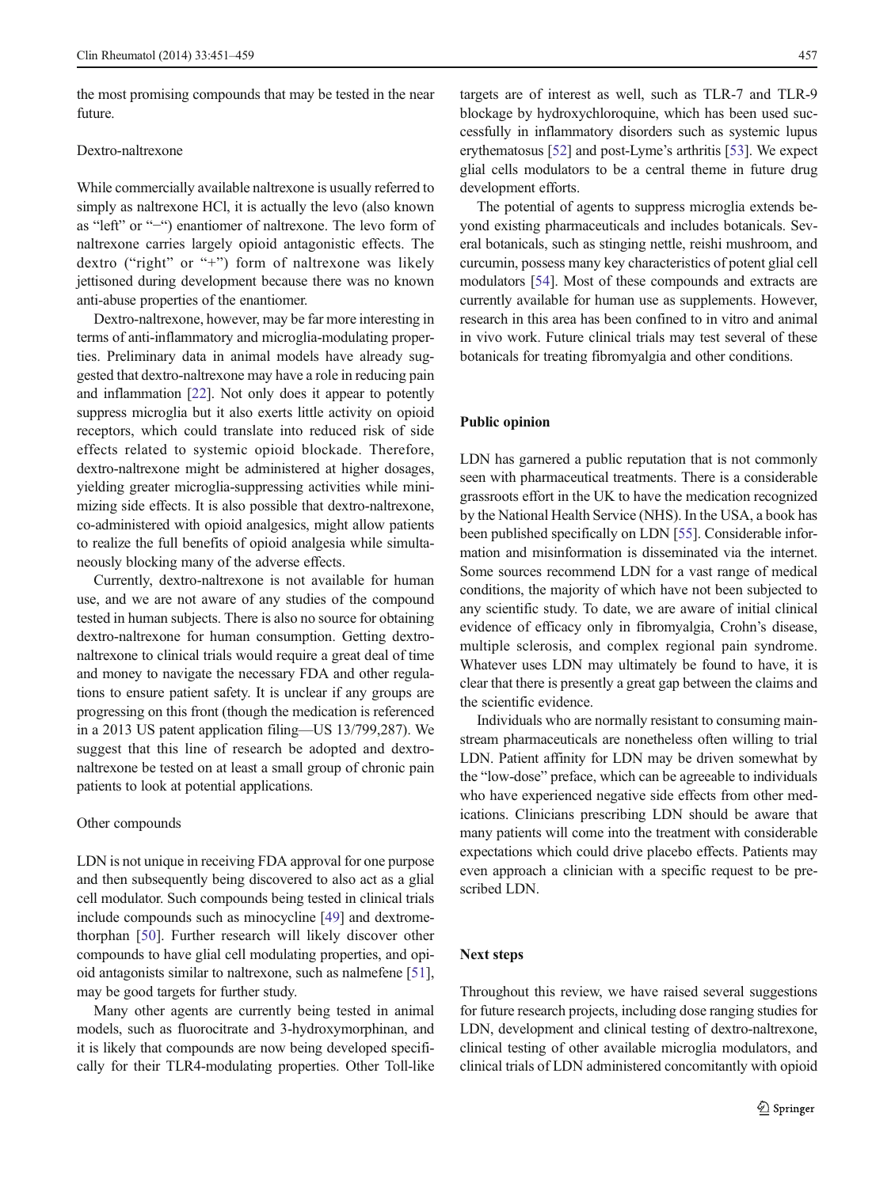the most promising compounds that may be tested in the near future.

## Dextro-naltrexone

While commercially available naltrexone is usually referred to simply as naltrexone HCl, it is actually the levo (also known as "left" or "−") enantiomer of naltrexone. The levo form of naltrexone carries largely opioid antagonistic effects. The dextro ("right" or "+") form of naltrexone was likely jettisoned during development because there was no known anti-abuse properties of the enantiomer.

Dextro-naltrexone, however, may be far more interesting in terms of anti-inflammatory and microglia-modulating properties. Preliminary data in animal models have already suggested that dextro-naltrexone may have a role in reducing pain and inflammation [[22](#page-8-0)]. Not only does it appear to potently suppress microglia but it also exerts little activity on opioid receptors, which could translate into reduced risk of side effects related to systemic opioid blockade. Therefore, dextro-naltrexone might be administered at higher dosages, yielding greater microglia-suppressing activities while minimizing side effects. It is also possible that dextro-naltrexone, co-administered with opioid analgesics, might allow patients to realize the full benefits of opioid analgesia while simultaneously blocking many of the adverse effects.

Currently, dextro-naltrexone is not available for human use, and we are not aware of any studies of the compound tested in human subjects. There is also no source for obtaining dextro-naltrexone for human consumption. Getting dextronaltrexone to clinical trials would require a great deal of time and money to navigate the necessary FDA and other regulations to ensure patient safety. It is unclear if any groups are progressing on this front (though the medication is referenced in a 2013 US patent application filing—US 13/799,287). We suggest that this line of research be adopted and dextronaltrexone be tested on at least a small group of chronic pain patients to look at potential applications.

#### Other compounds

LDN is not unique in receiving FDA approval for one purpose and then subsequently being discovered to also act as a glial cell modulator. Such compounds being tested in clinical trials include compounds such as minocycline [\[49](#page-8-0)] and dextromethorphan [[50\]](#page-8-0). Further research will likely discover other compounds to have glial cell modulating properties, and opioid antagonists similar to naltrexone, such as nalmefene [[51\]](#page-8-0), may be good targets for further study.

Many other agents are currently being tested in animal models, such as fluorocitrate and 3-hydroxymorphinan, and it is likely that compounds are now being developed specifically for their TLR4-modulating properties. Other Toll-like

targets are of interest as well, such as TLR-7 and TLR-9 blockage by hydroxychloroquine, which has been used successfully in inflammatory disorders such as systemic lupus erythematosus [[52](#page-8-0)] and post-Lyme's arthritis [[53](#page-8-0)]. We expect glial cells modulators to be a central theme in future drug development efforts.

The potential of agents to suppress microglia extends beyond existing pharmaceuticals and includes botanicals. Several botanicals, such as stinging nettle, reishi mushroom, and curcumin, possess many key characteristics of potent glial cell modulators [\[54](#page-8-0)]. Most of these compounds and extracts are currently available for human use as supplements. However, research in this area has been confined to in vitro and animal in vivo work. Future clinical trials may test several of these botanicals for treating fibromyalgia and other conditions.

#### Public opinion

LDN has garnered a public reputation that is not commonly seen with pharmaceutical treatments. There is a considerable grassroots effort in the UK to have the medication recognized by the National Health Service (NHS). In the USA, a book has been published specifically on LDN [\[55](#page-8-0)]. Considerable information and misinformation is disseminated via the internet. Some sources recommend LDN for a vast range of medical conditions, the majority of which have not been subjected to any scientific study. To date, we are aware of initial clinical evidence of efficacy only in fibromyalgia, Crohn's disease, multiple sclerosis, and complex regional pain syndrome. Whatever uses LDN may ultimately be found to have, it is clear that there is presently a great gap between the claims and the scientific evidence.

Individuals who are normally resistant to consuming mainstream pharmaceuticals are nonetheless often willing to trial LDN. Patient affinity for LDN may be driven somewhat by the "low-dose" preface, which can be agreeable to individuals who have experienced negative side effects from other medications. Clinicians prescribing LDN should be aware that many patients will come into the treatment with considerable expectations which could drive placebo effects. Patients may even approach a clinician with a specific request to be prescribed LDN.

## Next steps

Throughout this review, we have raised several suggestions for future research projects, including dose ranging studies for LDN, development and clinical testing of dextro-naltrexone, clinical testing of other available microglia modulators, and clinical trials of LDN administered concomitantly with opioid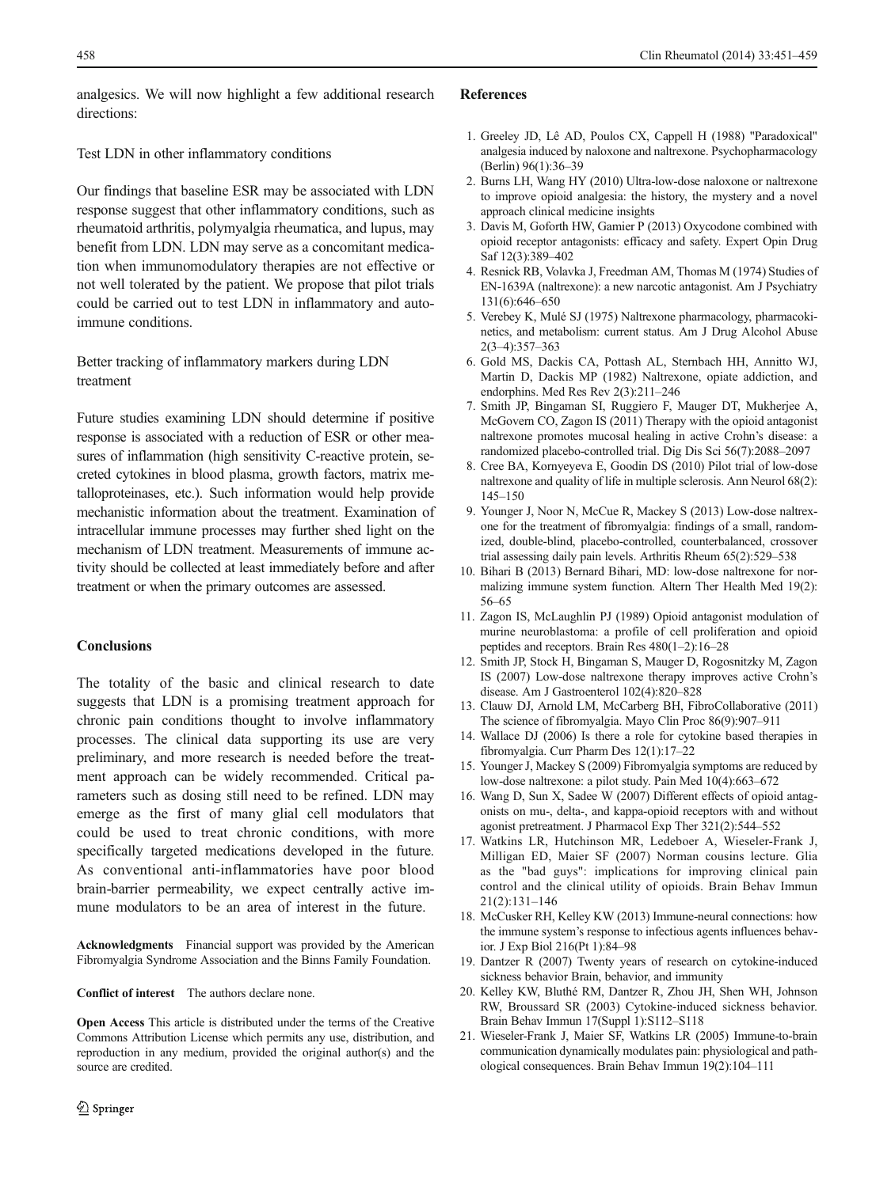<span id="page-7-0"></span>analgesics. We will now highlight a few additional research directions:

# Test LDN in other inflammatory conditions

Our findings that baseline ESR may be associated with LDN response suggest that other inflammatory conditions, such as rheumatoid arthritis, polymyalgia rheumatica, and lupus, may benefit from LDN. LDN may serve as a concomitant medication when immunomodulatory therapies are not effective or not well tolerated by the patient. We propose that pilot trials could be carried out to test LDN in inflammatory and autoimmune conditions.

Better tracking of inflammatory markers during LDN treatment

Future studies examining LDN should determine if positive response is associated with a reduction of ESR or other measures of inflammation (high sensitivity C-reactive protein, secreted cytokines in blood plasma, growth factors, matrix metalloproteinases, etc.). Such information would help provide mechanistic information about the treatment. Examination of intracellular immune processes may further shed light on the mechanism of LDN treatment. Measurements of immune activity should be collected at least immediately before and after treatment or when the primary outcomes are assessed.

# **Conclusions**

The totality of the basic and clinical research to date suggests that LDN is a promising treatment approach for chronic pain conditions thought to involve inflammatory processes. The clinical data supporting its use are very preliminary, and more research is needed before the treatment approach can be widely recommended. Critical parameters such as dosing still need to be refined. LDN may emerge as the first of many glial cell modulators that could be used to treat chronic conditions, with more specifically targeted medications developed in the future. As conventional anti-inflammatories have poor blood brain-barrier permeability, we expect centrally active immune modulators to be an area of interest in the future.

Acknowledgments Financial support was provided by the American Fibromyalgia Syndrome Association and the Binns Family Foundation.

## Conflict of interest The authors declare none.

Open Access This article is distributed under the terms of the Creative Commons Attribution License which permits any use, distribution, and reproduction in any medium, provided the original author(s) and the source are credited.

## References

- 1. Greeley JD, Lê AD, Poulos CX, Cappell H (1988) "Paradoxical" analgesia induced by naloxone and naltrexone. Psychopharmacology (Berlin) 96(1):36–39
- 2. Burns LH, Wang HY (2010) Ultra-low-dose naloxone or naltrexone to improve opioid analgesia: the history, the mystery and a novel approach clinical medicine insights
- 3. Davis M, Goforth HW, Gamier P (2013) Oxycodone combined with opioid receptor antagonists: efficacy and safety. Expert Opin Drug Saf 12(3):389–402
- 4. Resnick RB, Volavka J, Freedman AM, Thomas M (1974) Studies of EN-1639A (naltrexone): a new narcotic antagonist. Am J Psychiatry 131(6):646–650
- 5. Verebey K, Mulé SJ (1975) Naltrexone pharmacology, pharmacokinetics, and metabolism: current status. Am J Drug Alcohol Abuse 2(3–4):357–363
- 6. Gold MS, Dackis CA, Pottash AL, Sternbach HH, Annitto WJ, Martin D, Dackis MP (1982) Naltrexone, opiate addiction, and endorphins. Med Res Rev 2(3):211–246
- 7. Smith JP, Bingaman SI, Ruggiero F, Mauger DT, Mukherjee A, McGovern CO, Zagon IS (2011) Therapy with the opioid antagonist naltrexone promotes mucosal healing in active Crohn's disease: a randomized placebo-controlled trial. Dig Dis Sci 56(7):2088–2097
- 8. Cree BA, Kornyeyeva E, Goodin DS (2010) Pilot trial of low-dose naltrexone and quality of life in multiple sclerosis. Ann Neurol 68(2): 145–150
- 9. Younger J, Noor N, McCue R, Mackey S (2013) Low-dose naltrexone for the treatment of fibromyalgia: findings of a small, randomized, double-blind, placebo-controlled, counterbalanced, crossover trial assessing daily pain levels. Arthritis Rheum 65(2):529–538
- 10. Bihari B (2013) Bernard Bihari, MD: low-dose naltrexone for normalizing immune system function. Altern Ther Health Med 19(2): 56–65
- 11. Zagon IS, McLaughlin PJ (1989) Opioid antagonist modulation of murine neuroblastoma: a profile of cell proliferation and opioid peptides and receptors. Brain Res 480(1–2):16–28
- 12. Smith JP, Stock H, Bingaman S, Mauger D, Rogosnitzky M, Zagon IS (2007) Low-dose naltrexone therapy improves active Crohn's disease. Am J Gastroenterol 102(4):820–828
- 13. Clauw DJ, Arnold LM, McCarberg BH, FibroCollaborative (2011) The science of fibromyalgia. Mayo Clin Proc 86(9):907–911
- 14. Wallace DJ (2006) Is there a role for cytokine based therapies in fibromyalgia. Curr Pharm Des 12(1):17–22
- 15. Younger J, Mackey S (2009) Fibromyalgia symptoms are reduced by low-dose naltrexone: a pilot study. Pain Med 10(4):663–672
- 16. Wang D, Sun X, Sadee W (2007) Different effects of opioid antagonists on mu-, delta-, and kappa-opioid receptors with and without agonist pretreatment. J Pharmacol Exp Ther 321(2):544–552
- 17. Watkins LR, Hutchinson MR, Ledeboer A, Wieseler-Frank J, Milligan ED, Maier SF (2007) Norman cousins lecture. Glia as the "bad guys": implications for improving clinical pain control and the clinical utility of opioids. Brain Behav Immun 21(2):131–146
- 18. McCusker RH, Kelley KW (2013) Immune-neural connections: how the immune system's response to infectious agents influences behavior. J Exp Biol 216(Pt 1):84–98
- 19. Dantzer R (2007) Twenty years of research on cytokine-induced sickness behavior Brain, behavior, and immunity
- 20. Kelley KW, Bluthé RM, Dantzer R, Zhou JH, Shen WH, Johnson RW, Broussard SR (2003) Cytokine-induced sickness behavior. Brain Behav Immun 17(Suppl 1):S112–S118
- 21. Wieseler-Frank J, Maier SF, Watkins LR (2005) Immune-to-brain communication dynamically modulates pain: physiological and pathological consequences. Brain Behav Immun 19(2):104–111